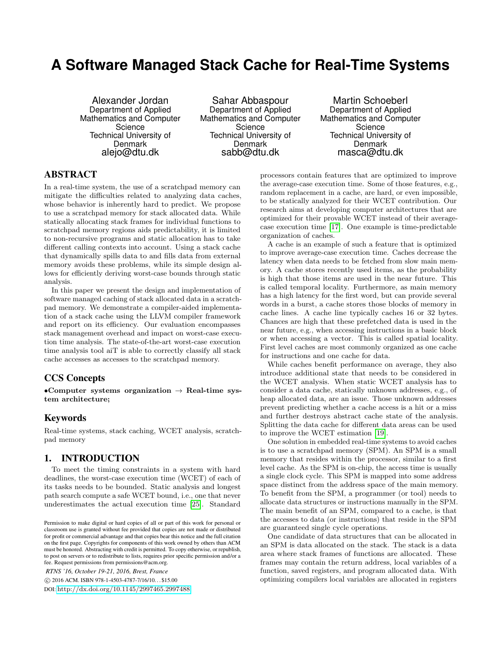# **A Software Managed Stack Cache for Real-Time Systems**

Alexander Jordan Department of Applied Mathematics and Computer Science Technical University of Denmark alejo@dtu.dk

Sahar Abbaspour Department of Applied Mathematics and Computer Science Technical University of Denmark sabb@dtu.dk

Martin Schoeberl Department of Applied Mathematics and Computer Science Technical University of Denmark masca@dtu.dk

# ABSTRACT

In a real-time system, the use of a scratchpad memory can mitigate the difficulties related to analyzing data caches, whose behavior is inherently hard to predict. We propose to use a scratchpad memory for stack allocated data. While statically allocating stack frames for individual functions to scratchpad memory regions aids predictability, it is limited to non-recursive programs and static allocation has to take different calling contexts into account. Using a stack cache that dynamically spills data to and fills data from external memory avoids these problems, while its simple design allows for efficiently deriving worst-case bounds through static analysis.

In this paper we present the design and implementation of software managed caching of stack allocated data in a scratchpad memory. We demonstrate a compiler-aided implementation of a stack cache using the LLVM compiler framework and report on its efficiency. Our evaluation encompasses stack management overhead and impact on worst-case execution time analysis. The state-of-the-art worst-case execution time analysis tool aiT is able to correctly classify all stack cache accesses as accesses to the scratchpad memory.

# CCS Concepts

•Computer systems organization  $\rightarrow$  Real-time system architecture;

# Keywords

Real-time systems, stack caching, WCET analysis, scratchpad memory

# 1. INTRODUCTION

To meet the timing constraints in a system with hard deadlines, the worst-case execution time (WCET) of each of its tasks needs to be bounded. Static analysis and longest path search compute a safe WCET bound, i.e., one that never underestimates the actual execution time [\[25\]](#page-7-0). Standard

*RTNS '16, October 19-21, 2016, Brest, France*

c 2016 ACM. ISBN 978-1-4503-4787-7/16/10. . . \$15.00

DOI: <http://dx.doi.org/10.1145/2997465.2997488>

processors contain features that are optimized to improve the average-case execution time. Some of those features, e.g., random replacement in a cache, are hard, or even impossible, to be statically analyzed for their WCET contribution. Our research aims at developing computer architectures that are optimized for their provable WCET instead of their averagecase execution time [\[17\]](#page-7-1). One example is time-predictable organization of caches.

A cache is an example of such a feature that is optimized to improve average-case execution time. Caches decrease the latency when data needs to be fetched from slow main memory. A cache stores recently used items, as the probability is high that those items are used in the near future. This is called temporal locality. Furthermore, as main memory has a high latency for the first word, but can provide several words in a burst, a cache stores those blocks of memory in cache lines. A cache line typically caches 16 or 32 bytes. Chances are high that these prefetched data is used in the near future, e.g., when accessing instructions in a basic block or when accessing a vector. This is called spatial locality. First level caches are most commonly organized as one cache for instructions and one cache for data.

While caches benefit performance on average, they also introduce additional state that needs to be considered in the WCET analysis. When static WCET analysis has to consider a data cache, statically unknown addresses, e.g., of heap allocated data, are an issue. Those unknown addresses prevent predicting whether a cache access is a hit or a miss and further destroys abstract cache state of the analysis. Splitting the data cache for different data areas can be used to improve the WCET estimation [\[19\]](#page-7-2).

One solution in embedded real-time systems to avoid caches is to use a scratchpad memory (SPM). An SPM is a small memory that resides within the processor, similar to a first level cache. As the SPM is on-chip, the access time is usually a single clock cycle. This SPM is mapped into some address space distinct from the address space of the main memory. To benefit from the SPM, a programmer (or tool) needs to allocate data structures or instructions manually in the SPM. The main benefit of an SPM, compared to a cache, is that the accesses to data (or instructions) that reside in the SPM are guaranteed single cycle operations.

One candidate of data structures that can be allocated in an SPM is data allocated on the stack. The stack is a data area where stack frames of functions are allocated. These frames may contain the return address, local variables of a function, saved registers, and program allocated data. With optimizing compilers local variables are allocated in registers

Permission to make digital or hard copies of all or part of this work for personal or classroom use is granted without fee provided that copies are not made or distributed for profit or commercial advantage and that copies bear this notice and the full citation on the first page. Copyrights for components of this work owned by others than ACM must be honored. Abstracting with credit is permitted. To copy otherwise, or republish, to post on servers or to redistribute to lists, requires prior specific permission and/or a fee. Request permissions from permissions@acm.org.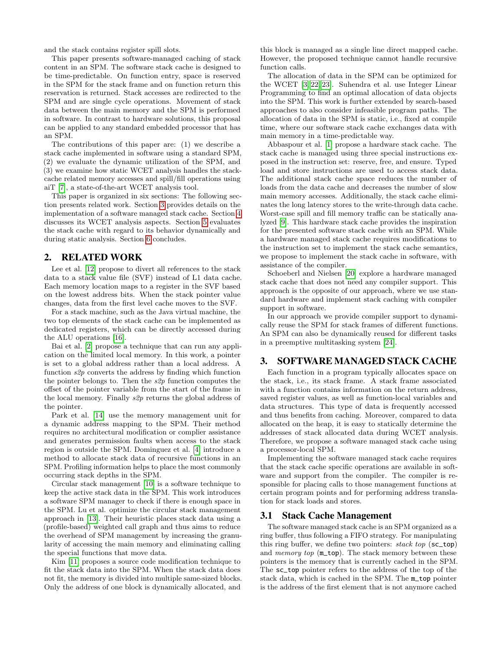and the stack contains register spill slots.

This paper presents software-managed caching of stack content in an SPM. The software stack cache is designed to be time-predictable. On function entry, space is reserved in the SPM for the stack frame and on function return this reservation is returned. Stack accesses are redirected to the SPM and are single cycle operations. Movement of stack data between the main memory and the SPM is performed in software. In contrast to hardware solutions, this proposal can be applied to any standard embedded processor that has an SPM.

The contributions of this paper are: (1) we describe a stack cache implemented in software using a standard SPM, (2) we evaluate the dynamic utilization of the SPM, and (3) we examine how static WCET analysis handles the stackcache related memory accesses and spill/fill operations using aiT [\[7\]](#page-6-0), a state-of-the-art WCET analysis tool.

This paper is organized in six sections: The following section presents related work. Section [3](#page-1-0) provides details on the implementation of a software managed stack cache. Section [4](#page-3-0) discusses its WCET analysis aspects. Section [5](#page-3-1) evaluates the stack cache with regard to its behavior dynamically and during static analysis. Section [6](#page-6-1) concludes.

# 2. RELATED WORK

Lee et al. [\[12\]](#page-6-2) propose to divert all references to the stack data to a stack value file (SVF) instead of L1 data cache. Each memory location maps to a register in the SVF based on the lowest address bits. When the stack pointer value changes, data from the first level cache moves to the SVF.

For a stack machine, such as the Java virtual machine, the two top elements of the stack cache can be implemented as dedicated registers, which can be directly accessed during the ALU operations [\[16\]](#page-7-3).

Bai et al. [\[2\]](#page-6-3) propose a technique that can run any application on the limited local memory. In this work, a pointer is set to a global address rather than a local address. A function s2p converts the address by finding which function the pointer belongs to. Then the s2p function computes the offset of the pointer variable from the start of the frame in the local memory. Finally s2p returns the global address of the pointer.

Park et al. [\[14\]](#page-7-4) use the memory management unit for a dynamic address mapping to the SPM. Their method requires no architectural modification or complier assistance and generates permission faults when access to the stack region is outside the SPM. Dominguez et al. [\[4\]](#page-6-4) introduce a method to allocate stack data of recursive functions in an SPM. Profiling information helps to place the most commonly occurring stack depths in the SPM.

Circular stack management [\[10\]](#page-6-5) is a software technique to keep the active stack data in the SPM. This work introduces a software SPM manager to check if there is enough space in the SPM. Lu et al. optimize the circular stack management approach in [\[13\]](#page-6-6). Their heuristic places stack data using a (profile-based) weighted call graph and thus aims to reduce the overhead of SPM management by increasing the granularity of accessing the main memory and eliminating calling the special functions that move data.

Kim [\[11\]](#page-6-7) proposes a source code modification technique to fit the stack data into the SPM. When the stack data does not fit, the memory is divided into multiple same-sized blocks. Only the address of one block is dynamically allocated, and

this block is managed as a single line direct mapped cache. However, the proposed technique cannot handle recursive function calls.

The allocation of data in the SPM can be optimized for the WCET [\[3,](#page-6-8) [22,](#page-7-5) [23\]](#page-7-6). Suhendra et al. use Integer Linear Programming to find an optimal allocation of data objects into the SPM. This work is further extended by search-based approaches to also consider infeasible program paths. The allocation of data in the SPM is static, i.e., fixed at compile time, where our software stack cache exchanges data with main memory in a time-predictable way.

Abbaspour et al. [\[1\]](#page-6-9) propose a hardware stack cache. The stack cache is managed using three special instructions exposed in the instruction set: reserve, free, and ensure. Typed load and store instructions are used to access stack data. The additional stack cache space reduces the number of loads from the data cache and decreases the number of slow main memory accesses. Additionally, the stack cache eliminates the long latency stores to the write-through data cache. Worst-case spill and fill memory traffic can be statically analyzed [\[9\]](#page-6-10). This hardware stack cache provides the inspiration for the presented software stack cache with an SPM. While a hardware managed stack cache requires modifications to the instruction set to implement the stack cache semantics, we propose to implement the stack cache in software, with assistance of the compiler.

Schoeberl and Nielsen [\[20\]](#page-7-7) explore a hardware managed stack cache that does not need any compiler support. This approach is the opposite of our approach, where we use standard hardware and implement stack caching with compiler support in software.

In our approach we provide compiler support to dynamically reuse the SPM for stack frames of different functions. An SPM can also be dynamically reused for different tasks in a preemptive multitasking system [\[24\]](#page-7-8).

#### <span id="page-1-0"></span>3. SOFTWARE MANAGED STACK CACHE

Each function in a program typically allocates space on the stack, i.e., its stack frame. A stack frame associated with a function contains information on the return address, saved register values, as well as function-local variables and data structures. This type of data is frequently accessed and thus benefits from caching. Moreover, compared to data allocated on the heap, it is easy to statically determine the addresses of stack allocated data during WCET analysis. Therefore, we propose a software managed stack cache using a processor-local SPM.

Implementing the software managed stack cache requires that the stack cache specific operations are available in software and support from the compiler. The compiler is responsible for placing calls to those management functions at certain program points and for performing address translation for stack loads and stores.

#### 3.1 Stack Cache Management

The software managed stack cache is an SPM organized as a ring buffer, thus following a FIFO strategy. For manipulating this ring buffer, we define two pointers:  $stack \text{ to }$  (sc\_top) and *memory top*  $(m_{top})$ . The stack memory between these pointers is the memory that is currently cached in the SPM. The sc\_top pointer refers to the address of the top of the stack data, which is cached in the SPM. The m\_top pointer is the address of the first element that is not anymore cached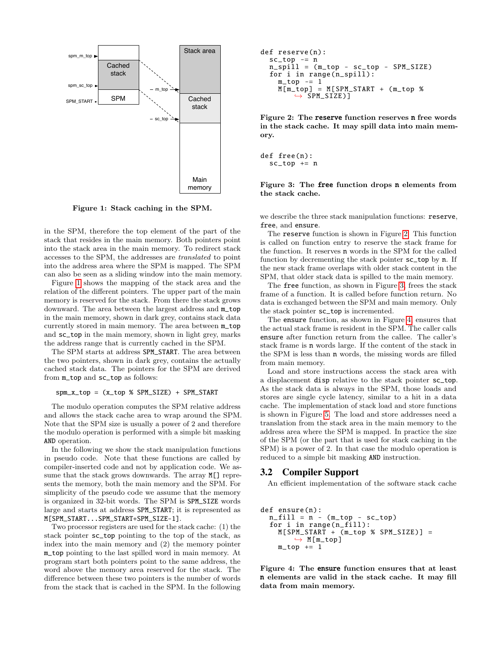

<span id="page-2-0"></span>Figure 1: Stack caching in the SPM.

in the SPM, therefore the top element of the part of the stack that resides in the main memory. Both pointers point into the stack area in the main memory. To redirect stack accesses to the SPM, the addresses are translated to point into the address area where the SPM is mapped. The SPM can also be seen as a sliding window into the main memory.

Figure [1](#page-2-0) shows the mapping of the stack area and the relation of the different pointers. The upper part of the main memory is reserved for the stack. From there the stack grows downward. The area between the largest address and m\_top in the main memory, shown in dark grey, contains stack data currently stored in main memory. The area between m\_top and sc\_top in the main memory, shown in light grey, marks the address range that is currently cached in the SPM.

The SPM starts at address SPM\_START. The area between the two pointers, shown in dark grey, contains the actually cached stack data. The pointers for the SPM are derived from m\_top and sc\_top as follows:

#### spm\_x\_top = (x\_top % SPM\_SIZE) + SPM\_START

The modulo operation computes the SPM relative address and allows the stack cache area to wrap around the SPM. Note that the SPM size is usually a power of 2 and therefore the modulo operation is performed with a simple bit masking AND operation.

In the following we show the stack manipulation functions in pseudo code. Note that these functions are called by compiler-inserted code and not by application code. We assume that the stack grows downwards. The array  $M[\]$  represents the memory, both the main memory and the SPM. For simplicity of the pseudo code we assume that the memory is organized in 32-bit words. The SPM is SPM\_SIZE words large and starts at address SPM\_START; it is represented as M[SPM\_START...SPM\_START+SPM\_SIZE-1].

Two processor registers are used for the stack cache: (1) the stack pointer sc\_top pointing to the top of the stack, as index into the main memory and (2) the memory pointer m\_top pointing to the last spilled word in main memory. At program start both pointers point to the same address, the word above the memory area reserved for the stack. The difference between these two pointers is the number of words from the stack that is cached in the SPM. In the following

def reserve(n): sc\_top -= n n\_spill = (m\_top - sc\_top - SPM\_SIZE) for i in range(n\_spill): m\_top -= 1 M[m\_top] = M[ SPM\_START + (m\_top % ,→ SPM\_SIZE)]

<span id="page-2-1"></span>Figure 2: The reserve function reserves n free words in the stack cache. It may spill data into main memory.

def free(n): sc\_top += n

#### <span id="page-2-2"></span>Figure 3: The free function drops n elements from the stack cache.

we describe the three stack manipulation functions: reserve, free, and ensure.

The reserve function is shown in Figure [2.](#page-2-1) This function is called on function entry to reserve the stack frame for the function. It reserves n words in the SPM for the called function by decrementing the stack pointer sc\_top by n. If the new stack frame overlaps with older stack content in the SPM, that older stack data is spilled to the main memory.

The free function, as shown in Figure [3,](#page-2-2) frees the stack frame of a function. It is called before function return. No data is exchanged between the SPM and main memory. Only the stack pointer sc\_top is incremented.

The ensure function, as shown in Figure [4,](#page-2-3) ensures that the actual stack frame is resident in the SPM. The caller calls ensure after function return from the callee. The caller's stack frame is n words large. If the content of the stack in the SPM is less than n words, the missing words are filled from main memory.

Load and store instructions access the stack area with a displacement disp relative to the stack pointer sc\_top. As the stack data is always in the SPM, those loads and stores are single cycle latency, similar to a hit in a data cache. The implementation of stack load and store functions is shown in Figure [5.](#page-3-2) The load and store addresses need a translation from the stack area in the main memory to the address area where the SPM is mapped. In practice the size of the SPM (or the part that is used for stack caching in the SPM) is a power of 2. In that case the modulo operation is reduced to a simple bit masking AND instruction.

#### 3.2 Compiler Support

An efficient implementation of the software stack cache

```
def ensure(n):
  n_{\text{full}} = n - (m_{\text{top}} - sc_{\text{top}})for i in range(n_fill):
     M[SPM_START + (m_ttop % SPM_SIZE)] =\hookrightarrow M[m_top]
     m_ttop += 1
```
<span id="page-2-3"></span>Figure 4: The ensure function ensures that at least n elements are valid in the stack cache. It may fill data from main memory.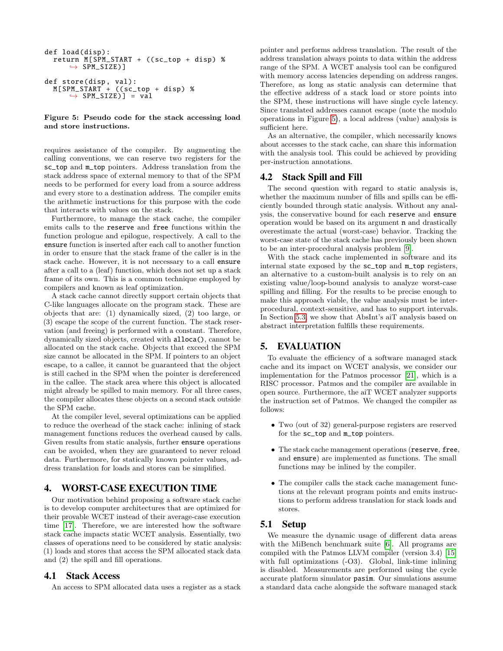```
def load(disp):
  return M[ SPM_START + (( sc_top + disp) %
      \rightarrow SPM_SIZE)]
def store(disp, val):
  M[ SPM_START + (( sc_top + disp) %
      \rightarrow SPM_SIZE)] = val
```
<span id="page-3-2"></span>Figure 5: Pseudo code for the stack accessing load and store instructions.

requires assistance of the compiler. By augmenting the calling conventions, we can reserve two registers for the sc\_top and m\_top pointers. Address translation from the stack address space of external memory to that of the SPM needs to be performed for every load from a source address and every store to a destination address. The compiler emits the arithmetic instructions for this purpose with the code that interacts with values on the stack.

Furthermore, to manage the stack cache, the compiler emits calls to the reserve and free functions within the function prologue and epilogue, respectively. A call to the ensure function is inserted after each call to another function in order to ensure that the stack frame of the caller is in the stack cache. However, it is not necessary to a call ensure after a call to a (leaf) function, which does not set up a stack frame of its own. This is a common technique employed by compilers and known as leaf optimization.

A stack cache cannot directly support certain objects that C-like languages allocate on the program stack. These are objects that are: (1) dynamically sized, (2) too large, or (3) escape the scope of the current function. The stack reservation (and freeing) is performed with a constant. Therefore, dynamically sized objects, created with alloca(), cannot be allocated on the stack cache. Objects that exceed the SPM size cannot be allocated in the SPM. If pointers to an object escape, to a callee, it cannot be guaranteed that the object is still cached in the SPM when the pointer is dereferenced in the callee. The stack area where this object is allocated might already be spilled to main memory. For all three cases, the compiler allocates these objects on a second stack outside the SPM cache.

At the compiler level, several optimizations can be applied to reduce the overhead of the stack cache: inlining of stack management functions reduces the overhead caused by calls. Given results from static analysis, further ensure operations can be avoided, when they are guaranteed to never reload data. Furthermore, for statically known pointer values, address translation for loads and stores can be simplified.

# <span id="page-3-0"></span>4. WORST-CASE EXECUTION TIME

Our motivation behind proposing a software stack cache is to develop computer architectures that are optimized for their provable WCET instead of their average-case execution time [\[17\]](#page-7-1). Therefore, we are interested how the software stack cache impacts static WCET analysis. Essentially, two classes of operations need to be considered by static analysis: (1) loads and stores that access the SPM allocated stack data and (2) the spill and fill operations.

# <span id="page-3-3"></span>4.1 Stack Access

An access to SPM allocated data uses a register as a stack

pointer and performs address translation. The result of the address translation always points to data within the address range of the SPM. A WCET analysis tool can be configured with memory access latencies depending on address ranges. Therefore, as long as static analysis can determine that the effective address of a stack load or store points into the SPM, these instructions will have single cycle latency. Since translated addresses cannot escape (note the modulo operations in Figure [5\)](#page-3-2), a local address (value) analysis is sufficient here.

As an alternative, the compiler, which necessarily knows about accesses to the stack cache, can share this information with the analysis tool. This could be achieved by providing per-instruction annotations.

### <span id="page-3-4"></span>4.2 Stack Spill and Fill

The second question with regard to static analysis is, whether the maximum number of fills and spills can be efficiently bounded through static analysis. Without any analysis, the conservative bound for each reserve and ensure operation would be based on its argument n and drastically overestimate the actual (worst-case) behavior. Tracking the worst-case state of the stack cache has previously been shown to be an inter-procedural analysis problem [\[9\]](#page-6-10).

With the stack cache implemented in software and its internal state exposed by the sc\_top and m\_top registers, an alternative to a custom-built analysis is to rely on an existing value/loop-bound analysis to analyze worst-case spilling and filling. For the results to be precise enough to make this approach viable, the value analysis must be interprocedural, context-sensitive, and has to support intervals. In Section [5.3,](#page-4-0) we show that AbsInt's aiT analysis based on abstract interpretation fulfills these requirements.

# <span id="page-3-1"></span>5. EVALUATION

To evaluate the efficiency of a software managed stack cache and its impact on WCET analysis, we consider our implementation for the Patmos processor [\[21\]](#page-7-9), which is a RISC processor. Patmos and the compiler are available in open source. Furthermore, the aiT WCET analyzer supports the instruction set of Patmos. We changed the compiler as follows:

- Two (out of 32) general-purpose registers are reserved for the sc\_top and m\_top pointers.
- The stack cache management operations (reserve, free, and ensure) are implemented as functions. The small functions may be inlined by the compiler.
- The compiler calls the stack cache management functions at the relevant program points and emits instructions to perform address translation for stack loads and stores.

#### 5.1 Setup

We measure the dynamic usage of different data areas with the MiBench benchmark suite [\[6\]](#page-6-11). All programs are compiled with the Patmos LLVM compiler (version 3.4) [\[15\]](#page-7-10) with full optimizations  $(-O3)$ . Global, link-time inlining is disabled. Measurements are performed using the cycle accurate platform simulator pasim. Our simulations assume a standard data cache alongside the software managed stack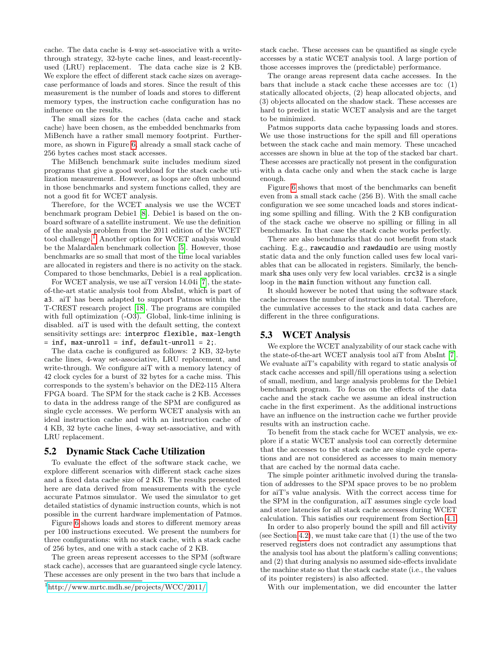cache. The data cache is 4-way set-associative with a writethrough strategy, 32-byte cache lines, and least-recentlyused (LRU) replacement. The data cache size is 2 KB. We explore the effect of different stack cache sizes on averagecase performance of loads and stores. Since the result of this measurement is the number of loads and stores to different memory types, the instruction cache configuration has no influence on the results.

The small sizes for the caches (data cache and stack cache) have been chosen, as the embedded benchmarks from MiBench have a rather small memory footprint. Furthermore, as shown in Figure [6,](#page-5-0) already a small stack cache of 256 bytes caches most stack accesses.

The MiBench benchmark suite includes medium sized programs that give a good workload for the stack cache utilization measurement. However, as loops are often unbound in those benchmarks and system functions called, they are not a good fit for WCET analysis.

Therefore, for the WCET analysis we use the WCET benchmark program Debie1 [\[8\]](#page-6-12). Debie1 is based on the onboard software of a satellite instrument. We use the definition of the analysis problem from the 2011 edition of the WCET tool challenge.<sup>[1](#page-4-1)</sup> Another option for WCET analysis would be the Malardalen benchmark collection [\[5\]](#page-6-13). However, those benchmarks are so small that most of the time local variables are allocated in registers and there is no activity on the stack. Compared to those benchmarks, Debie1 is a real application.

For WCET analysis, we use aiT version 14.04i [\[7\]](#page-6-0), the stateof-the-art static analysis tool from AbsInt, which is part of a3. aiT has been adapted to support Patmos within the T-CREST research project [\[18\]](#page-7-11). The programs are compiled with full optimization  $(-O3)$ . Global, link-time inlining is disabled. aiT is used with the default setting, the context sensitivity settings are: interproc flexible, max-length  $=$  inf, max-unroll  $=$  inf, default-unroll  $=$  2;.

The data cache is configured as follows: 2 KB, 32-byte cache lines, 4-way set-associative, LRU replacement, and write-through. We configure aiT with a memory latency of 42 clock cycles for a burst of 32 bytes for a cache miss. This corresponds to the system's behavior on the DE2-115 Altera FPGA board. The SPM for the stack cache is 2 KB. Accesses to data in the address range of the SPM are configured as single cycle accesses. We perform WCET analysis with an ideal instruction cache and with an instruction cache of 4 KB, 32 byte cache lines, 4-way set-associative, and with LRU replacement.

#### 5.2 Dynamic Stack Cache Utilization

To evaluate the effect of the software stack cache, we explore different scenarios with different stack cache sizes and a fixed data cache size of 2 KB. The results presented here are data derived from measurements with the cycle accurate Patmos simulator. We used the simulator to get detailed statistics of dynamic instruction counts, which is not possible in the current hardware implementation of Patmos.

Figure [6](#page-5-0) shows loads and stores to different memory areas per 100 instructions executed. We present the numbers for three configurations: with no stack cache, with a stack cache of 256 bytes, and one with a stack cache of 2 KB.

The green areas represent accesses to the SPM (software stack cache), accesses that are guaranteed single cycle latency. These accesses are only present in the two bars that include a

stack cache. These accesses can be quantified as single cycle accesses by a static WCET analysis tool. A large portion of those accesses improves the (predictable) performance.

The orange areas represent data cache accesses. In the bars that include a stack cache these accesses are to: (1) statically allocated objects, (2) heap allocated objects, and (3) objects allocated on the shadow stack. These accesses are hard to predict in static WCET analysis and are the target to be minimized.

Patmos supports data cache bypassing loads and stores. We use those instructions for the spill and fill operations between the stack cache and main memory. These uncached accesses are shown in blue at the top of the stacked bar chart. These accesses are practically not present in the configuration with a data cache only and when the stack cache is large enough.

Figure [6](#page-5-0) shows that most of the benchmarks can benefit even from a small stack cache (256 B). With the small cache configuration we see some uncached loads and stores indicating some spilling and filling. With the 2 KB configuration of the stack cache we observe no spilling or filling in all benchmarks. In that case the stack cache works perfectly.

There are also benchmarks that do not benefit from stack caching. E.g., rawcaudio and rawdaudio are using mostly static data and the only function called uses few local variables that can be allocated in registers. Similarly, the benchmark sha uses only very few local variables. crc32 is a single loop in the main function without any function call.

It should however be noted that using the software stack cache increases the number of instructions in total. Therefore, the cumulative accesses to the stack and data caches are different in the three configurations.

## <span id="page-4-0"></span>5.3 WCET Analysis

We explore the WCET analyzability of our stack cache with the state-of-the-art WCET analysis tool aiT from AbsInt [\[7\]](#page-6-0). We evaluate aiT's capability with regard to static analysis of stack cache accesses and spill/fill operations using a selection of small, medium, and large analysis problems for the Debie1 benchmark program. To focus on the effects of the data cache and the stack cache we assume an ideal instruction cache in the first experiment. As the additional instructions have an influence on the instruction cache we further provide results with an instruction cache.

To benefit from the stack cache for WCET analysis, we explore if a static WCET analysis tool can correctly determine that the accesses to the stack cache are single cycle operations and are not considered as accesses to main memory that are cached by the normal data cache.

The simple pointer arithmetic involved during the translation of addresses to the SPM space proves to be no problem for aiT's value analysis. With the correct access time for the SPM in the configuration, aiT assumes single cycle load and store latencies for all stack cache accesses during WCET calculation. This satisfies our requirement from Section [4.1.](#page-3-3)

In order to also properly bound the spill and fill activity (see Section [4.2\)](#page-3-4), we must take care that (1) the use of the two reserved registers does not contradict any assumptions that the analysis tool has about the platform's calling conventions; and (2) that during analysis no assumed side-effects invalidate the machine state so that the stack cache state (i.e., the values of its pointer registers) is also affected.

With our implementation, we did encounter the latter

<span id="page-4-1"></span><sup>1</sup><http://www.mrtc.mdh.se/projects/WCC/2011/>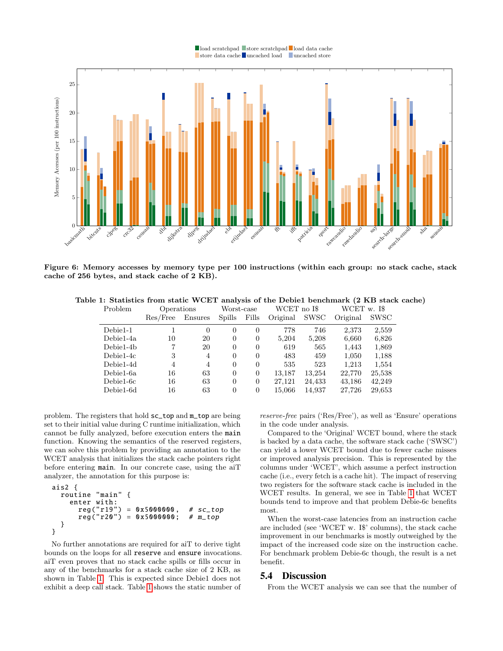

Figure 6: Memory accesses by memory type per 100 instructions (within each group: no stack cache, stack cache of 256 bytes, and stack cache of 2 KB).

<span id="page-5-0"></span>Table 1: Statistics from static WCET analysis of the Debie1 benchmark (2 KB stack cache)

<span id="page-5-1"></span>

| Problem     | Operations |          | Worst-case     |                | WCET no I\$ |        | WCET w. I\$ |             |
|-------------|------------|----------|----------------|----------------|-------------|--------|-------------|-------------|
|             | Res/Free   | Ensures  | Spills         | Fills          | Original    | SWSC   | Original    | <b>SWSC</b> |
| $Debie1-1$  |            | $\Omega$ | $\theta$       | $\Omega$       | 778         | 746    | 2,373       | 2,559       |
| $Debie1-4a$ | 10         | 20       | $\theta$       | $\theta$       | 5,204       | 5,208  | 6,660       | 6,826       |
| $Debie1-4b$ |            | 20       | $\overline{0}$ | $\Omega$       | 619         | 565    | 1,443       | 1,869       |
| $Debie1-4c$ | 3          | 4        | $\overline{0}$ | $\Omega$       | 483         | 459    | 1,050       | 1,188       |
| Debie1-4d   | 4          | 4        | $\overline{0}$ | $\Omega$       | 535         | 523    | 1.213       | 1,554       |
| Debie1-6a   | 16         | 63       | $\overline{0}$ | $\theta$       | 13,187      | 13,254 | 22,770      | 25,538      |
| Debie1-6c   | 16         | 63       | $\Omega$       | $\Omega$       | 27.121      | 24,433 | 43,186      | 42,249      |
| Debie1-6d   | 16         | 63       | $\overline{0}$ | $\overline{0}$ | 15,066      | 14,937 | 27,726      | 29,653      |

problem. The registers that hold sc\_top and m\_top are being set to their initial value during C runtime initialization, which cannot be fully analyzed, before execution enters the main function. Knowing the semantics of the reserved registers, we can solve this problem by providing an annotation to the WCET analysis that initializes the stack cache pointers right before entering main. In our concrete case, using the aiT analyzer, the annotation for this purpose is:

```
ais2 {
  routine "main" {
    enter with:<br>reg("r19")
                   = 0x5000000, # sc_toreg("r20") = 0x5000000; # m_top}
}
```
No further annotations are required for aiT to derive tight bounds on the loops for all reserve and ensure invocations. aiT even proves that no stack cache spills or fills occur in any of the benchmarks for a stack cache size of 2 KB, as shown in Table [1.](#page-5-1) This is expected since Debie1 does not exhibit a deep call stack. Table [1](#page-5-1) shows the static number of reserve-free pairs ('Res/Free'), as well as 'Ensure' operations in the code under analysis.

Compared to the 'Original' WCET bound, where the stack is backed by a data cache, the software stack cache ('SWSC') can yield a lower WCET bound due to fewer cache misses or improved analysis precision. This is represented by the columns under 'WCET', which assume a perfect instruction cache (i.e., every fetch is a cache hit). The impact of reserving two registers for the software stack cache is included in the WCET results. In general, we see in Table [1](#page-5-1) that WCET bounds tend to improve and that problem Debie-6c benefits most.

When the worst-case latencies from an instruction cache are included (see 'WCET w. I\$' columns), the stack cache improvement in our benchmarks is mostly outweighed by the impact of the increased code size on the instruction cache. For benchmark problem Debie-6c though, the result is a net benefit.

#### 5.4 Discussion

From the WCET analysis we can see that the number of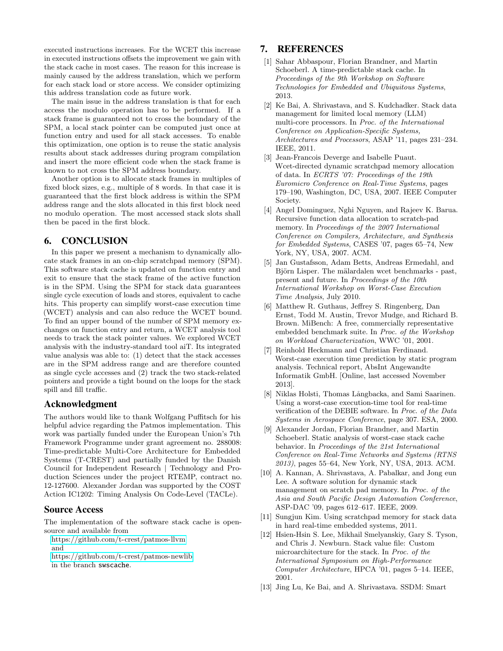executed instructions increases. For the WCET this increase in executed instructions offsets the improvement we gain with the stack cache in most cases. The reason for this increase is mainly caused by the address translation, which we perform for each stack load or store access. We consider optimizing this address translation code as future work.

The main issue in the address translation is that for each access the modulo operation has to be performed. If a stack frame is guaranteed not to cross the boundary of the SPM, a local stack pointer can be computed just once at function entry and used for all stack accesses. To enable this optimization, one option is to reuse the static analysis results about stack addresses during program compilation and insert the more efficient code when the stack frame is known to not cross the SPM address boundary.

Another option is to allocate stack frames in multiples of fixed block sizes, e.g., multiple of 8 words. In that case it is guaranteed that the first block address is within the SPM address range and the slots allocated in this first block need no modulo operation. The most accessed stack slots shall then be paced in the first block.

# <span id="page-6-1"></span>6. CONCLUSION

In this paper we present a mechanism to dynamically allocate stack frames in an on-chip scratchpad memory (SPM). This software stack cache is updated on function entry and exit to ensure that the stack frame of the active function is in the SPM. Using the SPM for stack data guarantees single cycle execution of loads and stores, equivalent to cache hits. This property can simplify worst-case execution time (WCET) analysis and can also reduce the WCET bound. To find an upper bound of the number of SPM memory exchanges on function entry and return, a WCET analysis tool needs to track the stack pointer values. We explored WCET analysis with the industry-standard tool aiT. Its integrated value analysis was able to: (1) detect that the stack accesses are in the SPM address range and are therefore counted as single cycle accesses and (2) track the two stack-related pointers and provide a tight bound on the loops for the stack spill and fill traffic.

#### Acknowledgment

The authors would like to thank Wolfgang Puffitsch for his helpful advice regarding the Patmos implementation. This work was partially funded under the European Union's 7th Framework Programme under grant agreement no. 288008: Time-predictable Multi-Core Architecture for Embedded Systems (T-CREST) and partially funded by the Danish Council for Independent Research | Technology and Production Sciences under the project RTEMP, contract no. 12-127600. Alexander Jordan was supported by the COST Action IC1202: Timing Analysis On Code-Level (TACLe).

## Source Access

The implementation of the software stack cache is opensource and available from

<https://github.com/t-crest/patmos-llvm> and <https://github.com/t-crest/patmos-newlib>

in the branch swscache.

#### 7. REFERENCES

- <span id="page-6-9"></span>[1] Sahar Abbaspour, Florian Brandner, and Martin Schoeberl. A time-predictable stack cache. In Proceedings of the 9th Workshop on Software Technologies for Embedded and Ubiquitous Systems, 2013.
- <span id="page-6-3"></span>[2] Ke Bai, A. Shrivastava, and S. Kudchadker. Stack data management for limited local memory (LLM) multi-core processors. In Proc. of the International Conference on Application-Specific Systems, Architectures and Processors, ASAP '11, pages 231–234. IEEE, 2011.
- <span id="page-6-8"></span>[3] Jean-Francois Deverge and Isabelle Puaut. Wcet-directed dynamic scratchpad memory allocation of data. In ECRTS '07: Proceedings of the 19th Euromicro Conference on Real-Time Systems, pages 179–190, Washington, DC, USA, 2007. IEEE Computer Society.
- <span id="page-6-4"></span>[4] Angel Dominguez, Nghi Nguyen, and Rajeev K. Barua. Recursive function data allocation to scratch-pad memory. In Proceedings of the 2007 International Conference on Compilers, Architecture, and Synthesis for Embedded Systems, CASES '07, pages 65–74, New York, NY, USA, 2007. ACM.
- <span id="page-6-13"></span>[5] Jan Gustafsson, Adam Betts, Andreas Ermedahl, and Björn Lisper. The mälardalen wcet benchmarks - past, present and future. In Proceedings of the 10th International Workshop on Worst-Case Execution Time Analysis, July 2010.
- <span id="page-6-11"></span>[6] Matthew R. Guthaus, Jeffrey S. Ringenberg, Dan Ernst, Todd M. Austin, Trevor Mudge, and Richard B. Brown. MiBench: A free, commercially representative embedded benchmark suite. In Proc. of the Workshop on Workload Characterization, WWC '01, 2001.
- <span id="page-6-0"></span>[7] Reinhold Heckmann and Christian Ferdinand. Worst-case execution time prediction by static program analysis. Technical report, AbsInt Angewandte Informatik GmbH. [Online, last accessed November 2013].
- <span id="page-6-12"></span>[8] Niklas Holsti, Thomas Långbacka, and Sami Saarinen. Using a worst-case execution-time tool for real-time verification of the DEBIE software. In Proc. of the Data Systems in Aerospace Conference, page 307. ESA, 2000.
- <span id="page-6-10"></span>[9] Alexander Jordan, Florian Brandner, and Martin Schoeberl. Static analysis of worst-case stack cache behavior. In Proceedings of the 21st International Conference on Real-Time Networks and Systems (RTNS 2013), pages 55–64, New York, NY, USA, 2013. ACM.
- <span id="page-6-5"></span>[10] A. Kannan, A. Shrivastava, A. Pabalkar, and Jong eun Lee. A software solution for dynamic stack management on scratch pad memory. In Proc. of the Asia and South Pacific Design Automation Conference, ASP-DAC '09, pages 612–617. IEEE, 2009.
- <span id="page-6-7"></span>[11] Sungjun Kim. Using scratchpad memory for stack data in hard real-time embedded systems, 2011.
- <span id="page-6-2"></span>[12] Hsien-Hsin S. Lee, Mikhail Smelyanskiy, Gary S. Tyson, and Chris J. Newburn. Stack value file: Custom microarchitecture for the stack. In Proc. of the International Symposium on High-Performance Computer Architecture, HPCA '01, pages 5–14. IEEE, 2001.
- <span id="page-6-6"></span>[13] Jing Lu, Ke Bai, and A. Shrivastava. SSDM: Smart